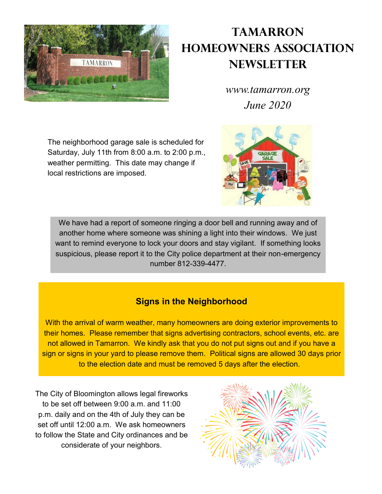

# **Tamarron Homeowners Association Newsletter**

*www.tamarron.org June 2020*

The neighborhood garage sale is scheduled for Saturday, July 11th from 8:00 a.m. to 2:00 p.m., weather permitting. This date may change if local restrictions are imposed.



We have had a report of someone ringing a door bell and running away and of another home where someone was shining a light into their windows. We just want to remind everyone to lock your doors and stay vigilant. If something looks suspicious, please report it to the City police department at their non-emergency number 812-339-4477.

## **Signs in the Neighborhood**

With the arrival of warm weather, many homeowners are doing exterior improvements to their homes. Please remember that signs advertising contractors, school events, etc. are not allowed in Tamarron. We kindly ask that you do not put signs out and if you have a sign or signs in your yard to please remove them. Political signs are allowed 30 days prior to the election date and must be removed 5 days after the election.

The City of Bloomington allows legal fireworks to be set off between 9:00 a.m. and 11:00 p.m. daily and on the 4th of July they can be set off until 12:00 a.m. We ask homeowners to follow the State and City ordinances and be considerate of your neighbors.